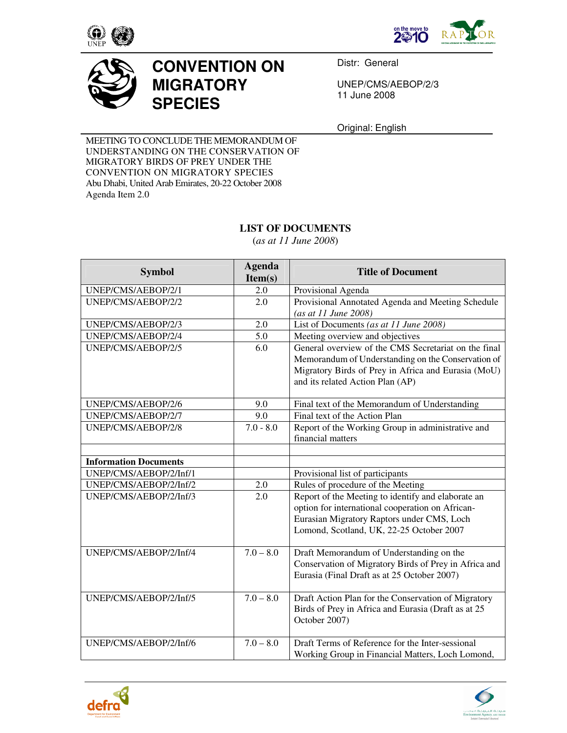





## **CONVENTION ON MIGRATORY SPECIES**

Distr: General

UNEP/CMS/AEBOP/2/3 11 June 2008

Original: English

MEETING TO CONCLUDE THE MEMORANDUM OF UNDERSTANDING ON THE CONSERVATION OF MIGRATORY BIRDS OF PREY UNDER THE CONVENTION ON MIGRATORY SPECIES Abu Dhabi, United Arab Emirates, 20-22 October 2008 Agenda Item 2.0

## **LIST OF DOCUMENTS**

(*as at 11 June 2008*)

| <b>Symbol</b>                | <b>Agenda</b><br>Item(s) | <b>Title of Document</b>                              |
|------------------------------|--------------------------|-------------------------------------------------------|
| UNEP/CMS/AEBOP/2/1           | 2.0                      | Provisional Agenda                                    |
| UNEP/CMS/AEBOP/2/2           | 2.0                      | Provisional Annotated Agenda and Meeting Schedule     |
|                              |                          | (as at 11 June 2008)                                  |
| UNEP/CMS/AEBOP/2/3           | 2.0                      | List of Documents (as at 11 June 2008)                |
| UNEP/CMS/AEBOP/2/4           | 5.0                      | Meeting overview and objectives                       |
| UNEP/CMS/AEBOP/2/5           | 6.0                      | General overview of the CMS Secretariat on the final  |
|                              |                          | Memorandum of Understanding on the Conservation of    |
|                              |                          | Migratory Birds of Prey in Africa and Eurasia (MoU)   |
|                              |                          | and its related Action Plan (AP)                      |
|                              |                          |                                                       |
| UNEP/CMS/AEBOP/2/6           | 9.0                      | Final text of the Memorandum of Understanding         |
| UNEP/CMS/AEBOP/2/7           | 9.0                      | Final text of the Action Plan                         |
| UNEP/CMS/AEBOP/2/8           | $7.0 - 8.0$              | Report of the Working Group in administrative and     |
|                              |                          | financial matters                                     |
|                              |                          |                                                       |
| <b>Information Documents</b> |                          |                                                       |
| UNEP/CMS/AEBOP/2/Inf/1       |                          | Provisional list of participants                      |
| UNEP/CMS/AEBOP/2/Inf/2       | 2.0                      | Rules of procedure of the Meeting                     |
| UNEP/CMS/AEBOP/2/Inf/3       | 2.0                      | Report of the Meeting to identify and elaborate an    |
|                              |                          | option for international cooperation on African-      |
|                              |                          | Eurasian Migratory Raptors under CMS, Loch            |
|                              |                          | Lomond, Scotland, UK, 22-25 October 2007              |
|                              |                          |                                                       |
| UNEP/CMS/AEBOP/2/Inf/4       | $7.0 - 8.0$              | Draft Memorandum of Understanding on the              |
|                              |                          | Conservation of Migratory Birds of Prey in Africa and |
|                              |                          | Eurasia (Final Draft as at 25 October 2007)           |
| UNEP/CMS/AEBOP/2/Inf/5       | $7.0 - 8.0$              | Draft Action Plan for the Conservation of Migratory   |
|                              |                          | Birds of Prey in Africa and Eurasia (Draft as at 25   |
|                              |                          | October 2007)                                         |
|                              |                          |                                                       |
| UNEP/CMS/AEBOP/2/Inf/6       | $7.0 - 8.0$              | Draft Terms of Reference for the Inter-sessional      |
|                              |                          | Working Group in Financial Matters, Loch Lomond,      |